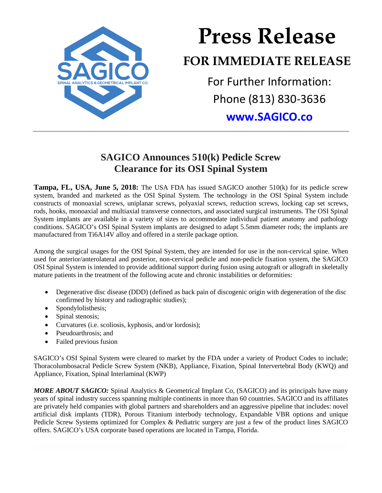

## **Press Release FOR IMMEDIATE RELEASE** For Further Information:

Phone (813) 830-3636 **[www.SAGICO.co](http://www.sagico.co/)**

## **SAGICO Announces 510(k) Pedicle Screw Clearance for its OSI Spinal System**

**Tampa, FL, USA, June 5, 2018:** The USA FDA has issued SAGICO another 510(k) for its pedicle screw system, branded and marketed as the OSI Spinal System. The technology in the OSI Spinal System include constructs of monoaxial screws, uniplanar screws, polyaxial screws, reduction screws, locking cap set screws, rods, hooks, monoaxial and multiaxial transverse connectors, and associated surgical instruments. The OSI Spinal System implants are available in a variety of sizes to accommodate individual patient anatomy and pathology conditions. SAGICO's OSI Spinal System implants are designed to adapt 5.5mm diameter rods; the implants are manufactured from Ti6A14V alloy and offered in a sterile package option.

Among the surgical usages for the OSI Spinal System, they are intended for use in the non-cervical spine. When used for anterior/anterolateral and posterior, non-cervical pedicle and non-pedicle fixation system, the SAGICO OSI Spinal System is intended to provide additional support during fusion using autograft or allograft in skeletally mature patients in the treatment of the following acute and chronic instabilities or deformities:

- Degenerative disc disease (DDD) (defined as back pain of discogenic origin with degeneration of the disc confirmed by history and radiographic studies);
- Spondylolisthesis;
- Spinal stenosis;
- Curvatures (i.e. scoliosis, kyphosis, and/or lordosis);
- Pseudoarthrosis; and
- Failed previous fusion

SAGICO's OSI Spinal System were cleared to market by the FDA under a variety of Product Codes to include; Thoracolumbosacral Pedicle Screw System (NKB), Appliance, Fixation, Spinal Intervertebral Body (KWQ) and Appliance, Fixation, Spinal Interlaminal (KWP)

*MORE ABOUT SAGICO:* Spinal Analytics & Geometrical Implant Co, (SAGICO) and its principals have many years of spinal industry success spanning multiple continents in more than 60 countries. SAGICO and its affiliates are privately held companies with global partners and shareholders and an aggressive pipeline that includes: novel artificial disk implants (TDR), Porous Titanium interbody technology, Expandable VBR options and unique Pedicle Screw Systems optimized for Complex & Pediatric surgery are just a few of the product lines SAGICO offers. SAGICO's USA corporate based operations are located in Tampa, Florida.